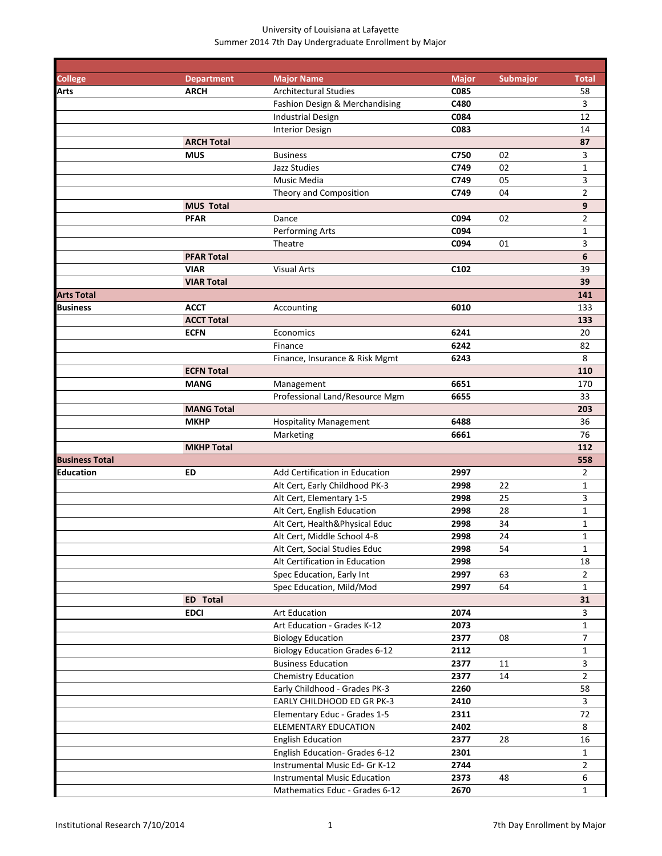| <b>College</b>        | <b>Department</b> | <b>Major Name</b>                            | <b>Major</b>     | <b>Submajor</b> | <b>Total</b>   |
|-----------------------|-------------------|----------------------------------------------|------------------|-----------------|----------------|
| Arts                  | <b>ARCH</b>       | <b>Architectural Studies</b>                 | C085             |                 | 58             |
|                       |                   | Fashion Design & Merchandising               | C480             |                 | 3              |
|                       |                   | <b>Industrial Design</b>                     | C084             |                 | 12             |
|                       |                   | <b>Interior Design</b>                       | C083             |                 | 14             |
|                       | <b>ARCH Total</b> |                                              |                  |                 | 87             |
|                       | <b>MUS</b>        | <b>Business</b>                              | C750             | 02              | 3              |
|                       |                   | Jazz Studies                                 | C749             | 02              | $\mathbf{1}$   |
|                       |                   | Music Media                                  | C749             | 05              | 3              |
|                       |                   | Theory and Composition                       | C749             | 04              | $\overline{2}$ |
|                       | <b>MUS Total</b>  |                                              |                  |                 | 9              |
|                       | <b>PFAR</b>       | Dance                                        | C094             | 02              | $\overline{2}$ |
|                       |                   | Performing Arts                              | C094             |                 | $\mathbf{1}$   |
|                       |                   | Theatre                                      | C094             | 01              | 3              |
|                       | <b>PFAR Total</b> |                                              |                  |                 | 6              |
|                       | <b>VIAR</b>       | <b>Visual Arts</b>                           | C <sub>102</sub> |                 | 39             |
|                       | <b>VIAR Total</b> |                                              |                  |                 | 39             |
| <b>Arts Total</b>     |                   |                                              |                  |                 | 141            |
| Business              | <b>ACCT</b>       | Accounting                                   | 6010             |                 | 133            |
|                       | <b>ACCT Total</b> |                                              |                  |                 | 133            |
|                       | <b>ECFN</b>       | Economics                                    | 6241             |                 | 20             |
|                       |                   | Finance<br>Finance, Insurance & Risk Mgmt    | 6242<br>6243     |                 | 82<br>8        |
|                       | <b>ECFN Total</b> |                                              |                  |                 | 110            |
|                       | <b>MANG</b>       |                                              | 6651             |                 | 170            |
|                       |                   | Management<br>Professional Land/Resource Mgm | 6655             |                 | 33             |
|                       | <b>MANG Total</b> |                                              |                  |                 | 203            |
|                       | <b>MKHP</b>       | <b>Hospitality Management</b>                | 6488             |                 | 36             |
|                       |                   | Marketing                                    | 6661             |                 | 76             |
|                       | <b>MKHP Total</b> |                                              |                  |                 | 112            |
| <b>Business Total</b> |                   |                                              |                  |                 | 558            |
| Education             | ED                | Add Certification in Education               | 2997             |                 | 2              |
|                       |                   | Alt Cert, Early Childhood PK-3               | 2998             | 22              | 1              |
|                       |                   | Alt Cert, Elementary 1-5                     | 2998             | 25              | 3              |
|                       |                   | Alt Cert, English Education                  | 2998             | 28              | $\mathbf{1}$   |
|                       |                   | Alt Cert, Health&Physical Educ               | 2998             | 34              | 1              |
|                       |                   | Alt Cert, Middle School 4-8                  | 2998             | 24              | $\mathbf{1}$   |
|                       |                   | Alt Cert, Social Studies Educ                | 2998             | 54              | $\mathbf{1}$   |
|                       |                   | Alt Certification in Education               | 2998             |                 | 18             |
|                       |                   | Spec Education, Early Int                    | 2997             | 63              | $\overline{2}$ |
|                       |                   | Spec Education, Mild/Mod                     | 2997             | 64              | $\mathbf{1}$   |
|                       | ED Total          |                                              |                  |                 | 31             |
|                       | <b>EDCI</b>       | Art Education                                | 2074             |                 | 3              |
|                       |                   | Art Education - Grades K-12                  | 2073             |                 | $\mathbf{1}$   |
|                       |                   | <b>Biology Education</b>                     | 2377             | 08              | $\overline{7}$ |
|                       |                   | <b>Biology Education Grades 6-12</b>         | 2112             |                 | $\mathbf{1}$   |
|                       |                   | <b>Business Education</b>                    | 2377             | 11              | $\mathbf{3}$   |
|                       |                   | <b>Chemistry Education</b>                   | 2377             | 14              | $\overline{2}$ |
|                       |                   | Early Childhood - Grades PK-3                | 2260             |                 | 58             |
|                       |                   | EARLY CHILDHOOD ED GR PK-3                   | 2410             |                 | 3              |
|                       |                   | Elementary Educ - Grades 1-5                 | 2311             |                 | 72             |
|                       |                   | <b>ELEMENTARY EDUCATION</b>                  | 2402             |                 | 8              |
|                       |                   | <b>English Education</b>                     | 2377             | 28              | 16             |
|                       |                   | English Education- Grades 6-12               | 2301             |                 | $\mathbf{1}$   |
|                       |                   | Instrumental Music Ed- Gr K-12               | 2744             |                 | $\overline{2}$ |
|                       |                   | Instrumental Music Education                 | 2373             | 48              | 6              |
|                       |                   | Mathematics Educ - Grades 6-12               | 2670             |                 | $\mathbf{1}$   |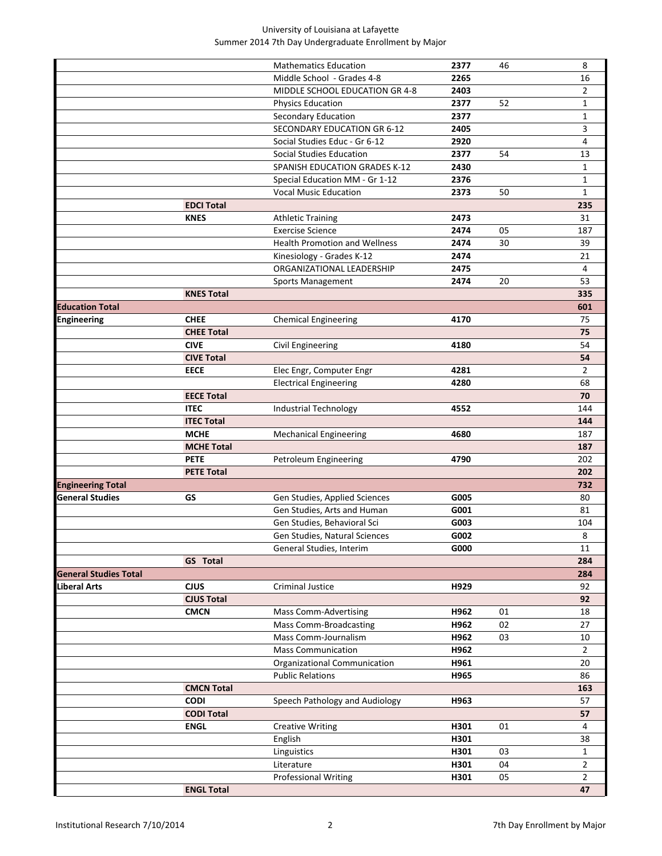|                              |                   | <b>Mathematics Education</b>         | 2377 | 46 | 8              |
|------------------------------|-------------------|--------------------------------------|------|----|----------------|
|                              |                   | Middle School - Grades 4-8           | 2265 |    | 16             |
|                              |                   | MIDDLE SCHOOL EDUCATION GR 4-8       | 2403 |    | $\overline{2}$ |
|                              |                   | <b>Physics Education</b>             | 2377 | 52 | $\mathbf{1}$   |
|                              |                   | Secondary Education                  | 2377 |    | $\mathbf{1}$   |
|                              |                   | SECONDARY EDUCATION GR 6-12          | 2405 |    | 3              |
|                              |                   | Social Studies Educ - Gr 6-12        | 2920 |    | $\overline{4}$ |
|                              |                   | Social Studies Education             | 2377 | 54 | 13             |
|                              |                   | SPANISH EDUCATION GRADES K-12        | 2430 |    | $\mathbf{1}$   |
|                              |                   | Special Education MM - Gr 1-12       | 2376 |    | 1              |
|                              |                   | <b>Vocal Music Education</b>         | 2373 | 50 | $\mathbf{1}$   |
|                              | <b>EDCI Total</b> |                                      |      |    | 235            |
|                              | <b>KNES</b>       | <b>Athletic Training</b>             | 2473 |    | 31             |
|                              |                   | <b>Exercise Science</b>              | 2474 | 05 | 187            |
|                              |                   | <b>Health Promotion and Wellness</b> | 2474 | 30 | 39             |
|                              |                   | Kinesiology - Grades K-12            | 2474 |    | 21             |
|                              |                   | ORGANIZATIONAL LEADERSHIP            | 2475 |    | 4              |
|                              |                   | Sports Management                    | 2474 | 20 | 53             |
|                              | <b>KNES Total</b> |                                      |      |    | 335            |
| <b>Education Total</b>       |                   |                                      |      |    | 601            |
| <b>Engineering</b>           | <b>CHEE</b>       | <b>Chemical Engineering</b>          | 4170 |    | 75             |
|                              | <b>CHEE Total</b> |                                      |      |    | 75             |
|                              | <b>CIVE</b>       | Civil Engineering                    | 4180 |    | 54             |
|                              | <b>CIVE Total</b> |                                      |      |    | 54             |
|                              | <b>EECE</b>       | Elec Engr, Computer Engr             | 4281 |    | $\overline{2}$ |
|                              |                   | <b>Electrical Engineering</b>        | 4280 |    | 68             |
|                              | <b>EECE Total</b> |                                      |      |    | 70             |
|                              | <b>ITEC</b>       | Industrial Technology                | 4552 |    | 144            |
|                              | <b>ITEC Total</b> |                                      |      |    | 144            |
|                              | <b>MCHE</b>       | <b>Mechanical Engineering</b>        | 4680 |    | 187            |
|                              | <b>MCHE Total</b> |                                      |      |    | 187            |
|                              | <b>PETE</b>       | Petroleum Engineering                | 4790 |    | 202            |
|                              | <b>PETE Total</b> |                                      |      |    | 202            |
| <b>Engineering Total</b>     |                   |                                      |      |    | 732            |
| <b>General Studies</b>       | GS                | Gen Studies, Applied Sciences        | G005 |    | 80             |
|                              |                   | Gen Studies, Arts and Human          | G001 |    | 81             |
|                              |                   | Gen Studies, Behavioral Sci          | G003 |    | 104            |
|                              |                   | Gen Studies, Natural Sciences        | G002 |    | 8              |
|                              |                   | General Studies, Interim             | G000 |    | 11             |
|                              | <b>GS</b> Total   |                                      |      |    | 284            |
| <b>General Studies Total</b> |                   |                                      |      |    | 284            |
| Liberal Arts                 | <b>CJUS</b>       | Criminal Justice                     | H929 |    | 92             |
|                              | <b>CJUS Total</b> |                                      |      |    | 92             |
|                              | <b>CMCN</b>       | Mass Comm-Advertising                | H962 | 01 | 18             |
|                              |                   | <b>Mass Comm-Broadcasting</b>        | H962 | 02 | 27             |
|                              |                   | Mass Comm-Journalism                 | H962 | 03 | 10             |
|                              |                   | <b>Mass Communication</b>            | H962 |    | $\overline{2}$ |
|                              |                   | Organizational Communication         | H961 |    | 20             |
|                              |                   | <b>Public Relations</b>              | H965 |    | 86             |
|                              | <b>CMCN Total</b> |                                      |      |    | 163            |
|                              | <b>CODI</b>       | Speech Pathology and Audiology       | H963 |    | 57             |
|                              | <b>CODI Total</b> |                                      |      |    | 57             |
|                              | <b>ENGL</b>       | <b>Creative Writing</b>              | H301 | 01 | 4              |
|                              |                   | English                              | H301 |    | 38             |
|                              |                   | Linguistics                          | H301 | 03 | $\mathbf{1}$   |
|                              |                   | Literature                           | H301 | 04 | $\overline{2}$ |
|                              |                   |                                      |      |    |                |
|                              |                   | <b>Professional Writing</b>          | H301 | 05 | $\overline{2}$ |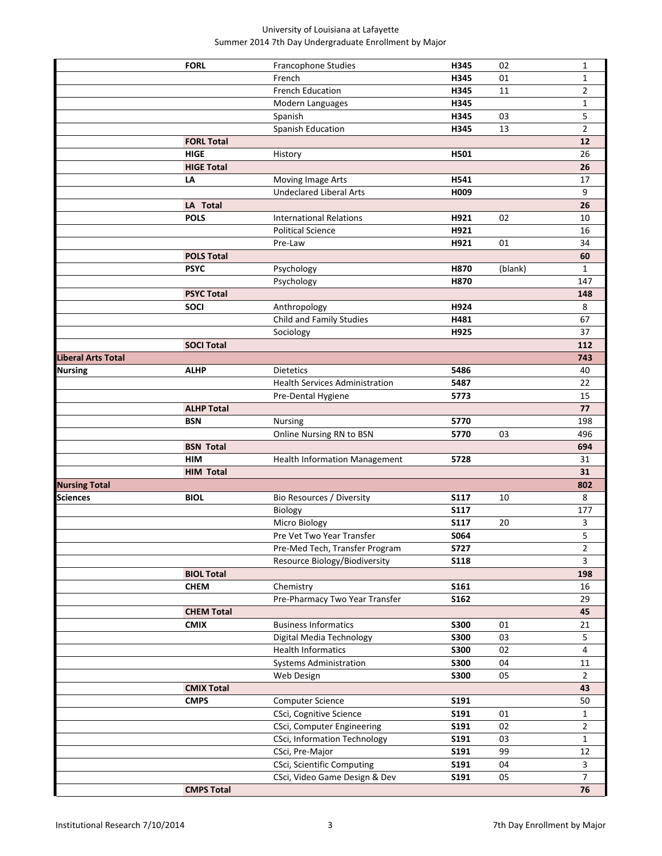|                           | <b>FORL</b>       | Francophone Studies                   | H345        | 02      | $\mathbf{1}$   |
|---------------------------|-------------------|---------------------------------------|-------------|---------|----------------|
|                           |                   | French                                | H345        | 01      | 1              |
|                           |                   | <b>French Education</b>               | H345        | 11      | 2              |
|                           |                   | Modern Languages                      | H345        |         | 1              |
|                           |                   | Spanish                               | H345        | 03      | 5              |
|                           |                   | Spanish Education                     | H345        | 13      | $\overline{2}$ |
|                           | <b>FORL Total</b> |                                       |             |         | 12             |
|                           | <b>HIGE</b>       | History                               | H501        |         | 26             |
|                           | <b>HIGE Total</b> |                                       |             |         | 26             |
|                           | LA                | Moving Image Arts                     | H541        |         | 17             |
|                           |                   | <b>Undeclared Liberal Arts</b>        | H009        |         | 9              |
|                           | LA Total          |                                       |             |         | 26             |
|                           | <b>POLS</b>       | <b>International Relations</b>        | H921        | 02      | 10             |
|                           |                   | <b>Political Science</b>              | H921        |         | 16             |
|                           |                   | Pre-Law                               | H921        | 01      | 34             |
|                           | <b>POLS Total</b> |                                       |             |         | 60             |
|                           | <b>PSYC</b>       | Psychology                            | H870        | (blank) | $\mathbf{1}$   |
|                           |                   | Psychology                            | H870        |         | 147            |
|                           | <b>PSYC Total</b> |                                       |             |         | 148            |
|                           | <b>SOCI</b>       | Anthropology                          | H924        |         | 8              |
|                           |                   | Child and Family Studies              | H481        |         | 67             |
|                           |                   | Sociology                             | H925        |         | 37             |
|                           | <b>SOCI Total</b> |                                       |             |         | 112            |
| <b>Liberal Arts Total</b> |                   |                                       |             |         | 743            |
| <b>Nursing</b>            | <b>ALHP</b>       | <b>Dietetics</b>                      | 5486        |         | 40             |
|                           |                   | <b>Health Services Administration</b> | 5487        |         | 22             |
|                           |                   | Pre-Dental Hygiene                    | 5773        |         | 15             |
|                           | <b>ALHP Total</b> |                                       |             |         | 77             |
|                           | <b>BSN</b>        | Nursing                               | 5770        |         | 198            |
|                           |                   | Online Nursing RN to BSN              | 5770        | 03      | 496            |
|                           | <b>BSN Total</b>  |                                       |             |         | 694            |
|                           | <b>HIM</b>        | Health Information Management         | 5728        |         | 31             |
|                           | <b>HIM Total</b>  |                                       |             |         | 31             |
| <b>Nursing Total</b>      |                   |                                       |             |         | 802            |
| <b>Sciences</b>           | <b>BIOL</b>       | Bio Resources / Diversity             | <b>S117</b> | 10      | 8              |
|                           |                   | Biology                               | <b>S117</b> |         | 177            |
|                           |                   | Micro Biology                         | <b>S117</b> | 20      | 3              |
|                           |                   | Pre Vet Two Year Transfer             | <b>S064</b> |         | 5              |
|                           |                   | Pre-Med Tech, Transfer Program        | <b>S727</b> |         | $\overline{2}$ |
|                           |                   | Resource Biology/Biodiversity         | <b>S118</b> |         | 3              |
|                           | <b>BIOL Total</b> |                                       |             |         | 198            |
|                           | <b>CHEM</b>       | Chemistry                             | <b>S161</b> |         | 16             |
|                           |                   | Pre-Pharmacy Two Year Transfer        | <b>S162</b> |         | 29             |
|                           | <b>CHEM Total</b> |                                       |             |         | 45             |
|                           | <b>CMIX</b>       | <b>Business Informatics</b>           | <b>S300</b> | 01      | 21             |
|                           |                   | Digital Media Technology              | <b>S300</b> | 03      | 5              |
|                           |                   | <b>Health Informatics</b>             | <b>S300</b> | 02      | 4              |
|                           |                   | <b>Systems Administration</b>         | <b>S300</b> | 04      | 11             |
|                           |                   | Web Design                            | <b>S300</b> | 05      | $\overline{2}$ |
|                           | <b>CMIX Total</b> |                                       |             |         | 43             |
|                           | <b>CMPS</b>       | Computer Science                      | S191        |         | 50             |
|                           |                   | CSci, Cognitive Science               | S191        | 01      | $\mathbf{1}$   |
|                           |                   |                                       |             |         |                |
|                           |                   | CSci, Computer Engineering            | <b>S191</b> | 02      | $\overline{2}$ |
|                           |                   | CSci, Information Technology          | <b>S191</b> | 03      | $\mathbf{1}$   |
|                           |                   | CSci, Pre-Major                       | <b>S191</b> | 99      | 12             |
|                           |                   | CSci, Scientific Computing            | <b>S191</b> | 04      | 3              |
|                           |                   | CSci, Video Game Design & Dev         | <b>S191</b> | 05      | $\overline{7}$ |
|                           | <b>CMPS Total</b> |                                       |             |         | 76             |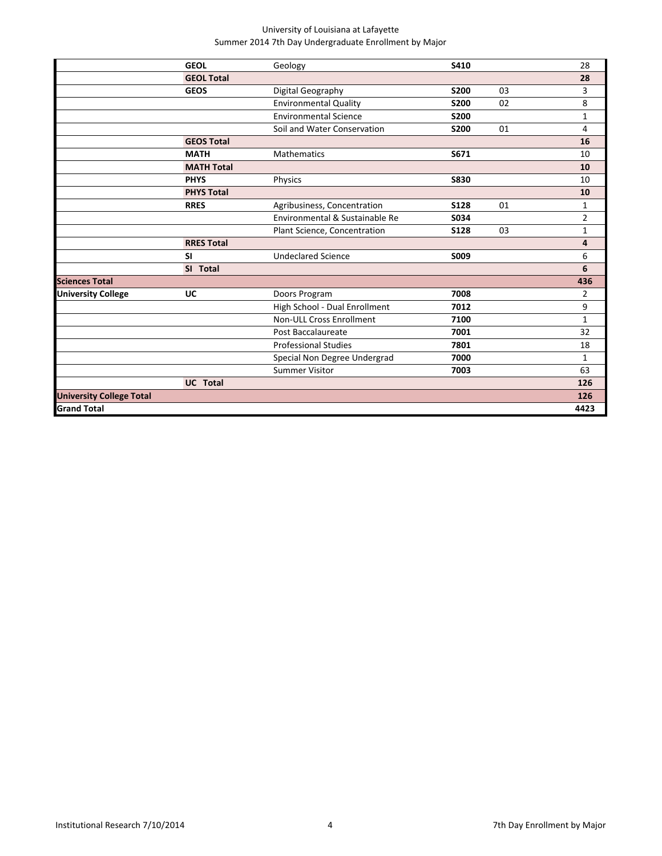|                   |                                  |             |      | 28           |
|-------------------|----------------------------------|-------------|------|--------------|
|                   |                                  |             |      | 28           |
| <b>GEOS</b>       | Digital Geography                | <b>S200</b> | 03   | 3            |
|                   | <b>Environmental Quality</b>     | <b>S200</b> | 02   | 8            |
|                   | <b>Environmental Science</b>     | <b>S200</b> |      | $\mathbf 1$  |
|                   | Soil and Water Conservation      | <b>S200</b> | 01   | 4            |
| <b>GEOS Total</b> |                                  |             |      | 16           |
| <b>MATH</b>       | Mathematics                      | S671        |      | 10           |
| <b>MATH Total</b> |                                  |             |      | 10           |
| <b>PHYS</b>       | Physics                          | <b>S830</b> |      | 10           |
| <b>PHYS Total</b> |                                  |             |      | 10           |
| <b>RRES</b>       | Agribusiness, Concentration      | <b>S128</b> | 01   | 1            |
|                   | Environmental & Sustainable Re   | S034        |      | 2            |
|                   | Plant Science, Concentration     | <b>S128</b> | 03   | 1            |
| <b>RRES Total</b> |                                  |             |      | 4            |
| SI                | <b>Undeclared Science</b>        | S009        |      | 6            |
| SI Total          |                                  |             |      | 6            |
|                   |                                  |             |      | 436          |
| UC                | Doors Program                    | 7008        |      | 2            |
|                   | High School - Dual Enrollment    | 7012        |      | 9            |
|                   | Non-ULL Cross Enrollment         | 7100        |      | $\mathbf{1}$ |
|                   | Post Baccalaureate               | 7001        |      | 32           |
|                   | <b>Professional Studies</b>      | 7801        |      | 18           |
|                   | Special Non Degree Undergrad     | 7000        |      | 1            |
|                   | <b>Summer Visitor</b>            | 7003        |      | 63           |
| <b>UC</b> Total   |                                  |             |      | 126          |
|                   |                                  |             |      | 126          |
|                   |                                  |             |      | 4423         |
|                   | <b>GEOL</b><br><b>GEOL Total</b> | Geology     | S410 |              |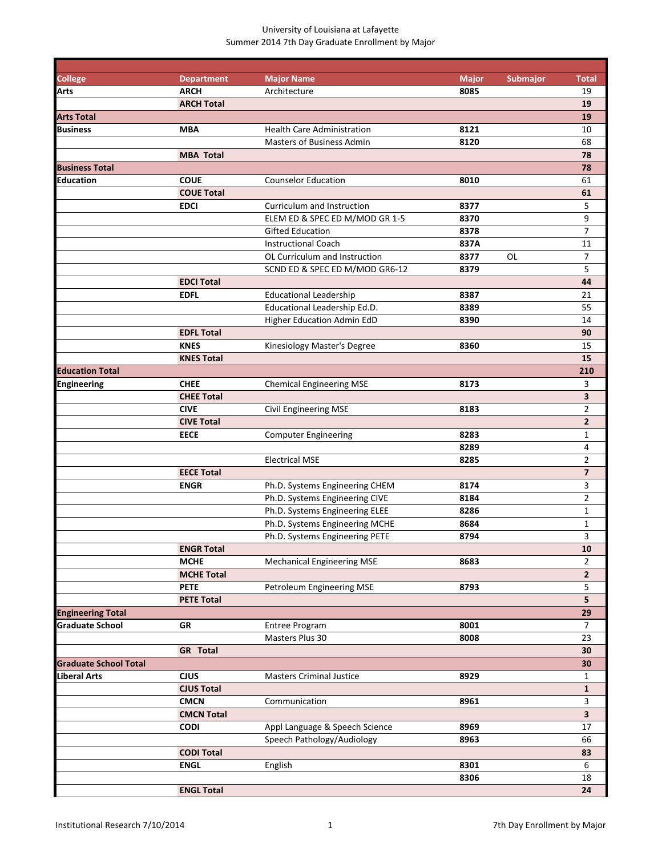| <b>College</b>               | <b>Department</b> | <b>Major Name</b>                 | <b>Major</b> | <b>Submajor</b> | <b>Total</b>            |
|------------------------------|-------------------|-----------------------------------|--------------|-----------------|-------------------------|
| Arts                         | <b>ARCH</b>       | Architecture                      | 8085         |                 | 19                      |
|                              | <b>ARCH Total</b> |                                   |              |                 | 19                      |
| <b>Arts Total</b>            |                   |                                   |              |                 | 19                      |
| <b>Business</b>              | <b>MBA</b>        | <b>Health Care Administration</b> | 8121         |                 | 10                      |
|                              |                   | Masters of Business Admin         | 8120         |                 | 68                      |
|                              | <b>MBA Total</b>  |                                   |              |                 | 78                      |
| <b>Business Total</b>        |                   |                                   |              |                 | 78                      |
| <b>Education</b>             | <b>COUE</b>       | <b>Counselor Education</b>        | 8010         |                 | 61                      |
|                              | <b>COUE Total</b> |                                   |              |                 | 61                      |
|                              | <b>EDCI</b>       | Curriculum and Instruction        | 8377         |                 | 5                       |
|                              |                   | ELEM ED & SPEC ED M/MOD GR 1-5    | 8370         |                 | 9                       |
|                              |                   | <b>Gifted Education</b>           | 8378         |                 | 7                       |
|                              |                   | <b>Instructional Coach</b>        | 837A         |                 | 11                      |
|                              |                   | OL Curriculum and Instruction     | 8377         | <b>OL</b>       | 7                       |
|                              |                   | SCND ED & SPEC ED M/MOD GR6-12    | 8379         |                 | 5                       |
|                              | <b>EDCI Total</b> |                                   |              |                 | 44                      |
|                              | <b>EDFL</b>       | <b>Educational Leadership</b>     | 8387         |                 | 21                      |
|                              |                   | Educational Leadership Ed.D.      | 8389         |                 | 55                      |
|                              | <b>EDFL Total</b> | Higher Education Admin EdD        | 8390         |                 | 14<br>90                |
|                              | <b>KNES</b>       |                                   | 8360         |                 | 15                      |
|                              | <b>KNES Total</b> | Kinesiology Master's Degree       |              |                 | 15                      |
| <b>Education Total</b>       |                   |                                   |              |                 | 210                     |
| <b>Engineering</b>           | <b>CHEE</b>       | <b>Chemical Engineering MSE</b>   | 8173         |                 | 3                       |
|                              | <b>CHEE Total</b> |                                   |              |                 | 3                       |
|                              | <b>CIVE</b>       | Civil Engineering MSE             | 8183         |                 | $\overline{2}$          |
|                              | <b>CIVE Total</b> |                                   |              |                 | $\overline{2}$          |
|                              | <b>EECE</b>       | <b>Computer Engineering</b>       | 8283         |                 | 1                       |
|                              |                   |                                   | 8289         |                 | 4                       |
|                              |                   | <b>Electrical MSE</b>             | 8285         |                 | 2                       |
|                              | <b>EECE Total</b> |                                   |              |                 | $\overline{\mathbf{z}}$ |
|                              | <b>ENGR</b>       | Ph.D. Systems Engineering CHEM    | 8174         |                 | 3                       |
|                              |                   | Ph.D. Systems Engineering CIVE    | 8184         |                 | $\overline{2}$          |
|                              |                   | Ph.D. Systems Engineering ELEE    | 8286         |                 | $\mathbf{1}$            |
|                              |                   | Ph.D. Systems Engineering MCHE    | 8684         |                 | 1                       |
|                              |                   | Ph.D. Systems Engineering PETE    | 8794         |                 | 3                       |
|                              | <b>ENGR Total</b> |                                   |              |                 | ${\bf 10}$              |
|                              | <b>MCHE</b>       | <b>Mechanical Engineering MSE</b> | 8683         |                 | 2                       |
|                              | <b>MCHE Total</b> |                                   |              |                 | $\overline{2}$          |
|                              | <b>PETE</b>       | Petroleum Engineering MSE         | 8793         |                 | 5                       |
|                              | <b>PETE Total</b> |                                   |              |                 | 5                       |
| <b>Engineering Total</b>     |                   |                                   |              |                 | 29                      |
| <b>Graduate School</b>       | <b>GR</b>         | Entree Program                    | 8001         |                 | $\overline{7}$          |
|                              |                   | Masters Plus 30                   | 8008         |                 | 23                      |
|                              | <b>GR</b> Total   |                                   |              |                 | 30                      |
| <b>Graduate School Total</b> |                   |                                   |              |                 | 30                      |
| <b>Liberal Arts</b>          | <b>CJUS</b>       | <b>Masters Criminal Justice</b>   | 8929         |                 | $\mathbf{1}$            |
|                              | <b>CJUS Total</b> |                                   |              |                 | $\mathbf{1}$            |
|                              | <b>CMCN</b>       | Communication                     | 8961         |                 | 3                       |
|                              | <b>CMCN Total</b> |                                   |              |                 | $\overline{\mathbf{3}}$ |
|                              | <b>CODI</b>       | Appl Language & Speech Science    | 8969         |                 | 17                      |
|                              |                   | Speech Pathology/Audiology        | 8963         |                 | 66                      |
|                              | <b>CODI Total</b> |                                   |              |                 | 83                      |
|                              | <b>ENGL</b>       | English                           | 8301         |                 | 6                       |
|                              |                   |                                   | 8306         |                 | 18                      |
|                              | <b>ENGL Total</b> |                                   |              |                 | 24                      |